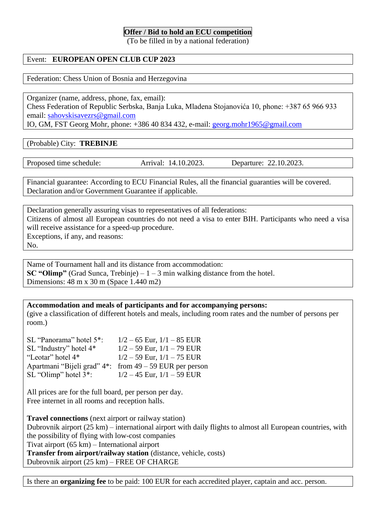## **Offer / Bid to hold an ECU competition**

(To be filled in by a national federation)

## Event: **EUROPEAN OPEN CLUB CUP 2023**

Federation: Chess Union of Bosnia and Herzegovina

Organizer (name, address, phone, fax, email): Chess Federation of Republic Serbska, Banja Luka, Mladena Stojanovića 10, phone: +387 65 966 933 email: [sahovskisavezrs@gmail.com](mailto:sahovskisavezrs@gmail.com)

IO, GM, FST Georg Mohr, phone: +386 40 834 432, e-mail: [georg.mohr1965@gmail.com](mailto:georg.mohr1965@gmail.com)

(Probable) City: **TREBINJE**

Proposed time schedule: Arrival: 14.10.2023. Departure: 22.10.2023.

Financial guarantee: According to ECU Financial Rules, all the financial guaranties will be covered. Declaration and/or Government Guarantee if applicable.

Declaration generally assuring visas to representatives of all federations: Citizens of almost all European countries do not need a visa to enter BIH. Participants who need a visa will receive assistance for a speed-up procedure. Exceptions, if any, and reasons: No.

Name of Tournament hall and its distance from accommodation: **SC "Olimp"** (Grad Sunca, Trebinje)  $-1 - 3$  min walking distance from the hotel. Dimensions: 48 m x 30 m (Space 1.440 m2)

**Accommodation and meals of participants and for accompanying persons:** (give a classification of different hotels and meals, including room rates and the number of persons per room.)

SL "Panorama" hotel  $5$ ":  $1/2 - 65$  Eur,  $1/1 - 85$  EUR SL "Industry" hotel  $4*$  1/2 – 59 Eur,  $1/1 - 79$  EUR "Leotar" hotel  $4^*$  1/2 – 59 Eur,  $1/1$  – 75 EUR Apartmani "Bijeli grad" 4\*: from 49 – 59 EUR per person SL "Olimp" hotel  $3$ ":  $1/2 - 45$  Eur,  $1/1 - 59$  EUR

All prices are for the full board, per person per day. Free internet in all rooms and reception halls.

**Travel connections** (next airport or railway station) Dubrovnik airport (25 km) – international airport with daily flights to almost all European countries, with the possibility of flying with low-cost companies Tivat airport (65 km) – International airport **Transfer from airport/railway station** (distance, vehicle, costs) Dubrovnik airport (25 km) – FREE OF CHARGE

Is there an **organizing fee** to be paid: 100 EUR for each accredited player, captain and acc. person.